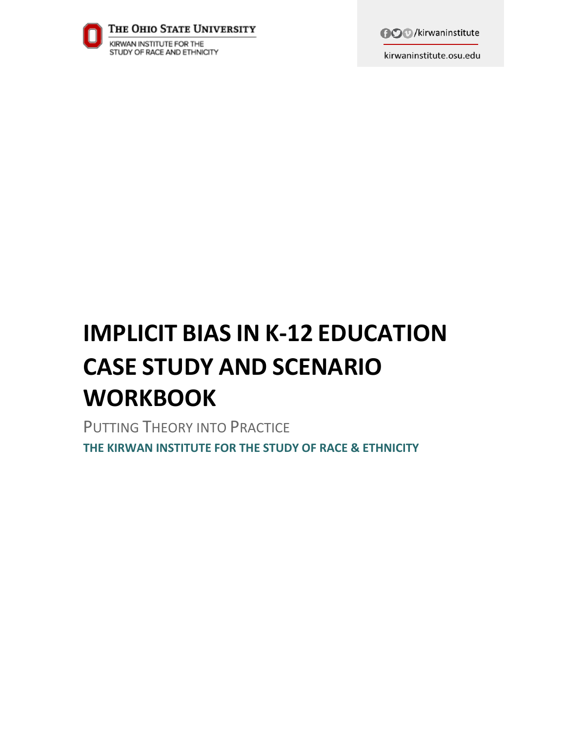

**AO** /kirwaninstitute

kirwaninstitute.osu.edu

# **IMPLICIT BIAS IN K-12 EDUCATION CASE STUDY AND SCENARIO WORKBOOK**

PUTTING THEORY INTO PRACTICE **THE KIRWAN INSTITUTE FOR THE STUDY OF RACE & ETHNICITY**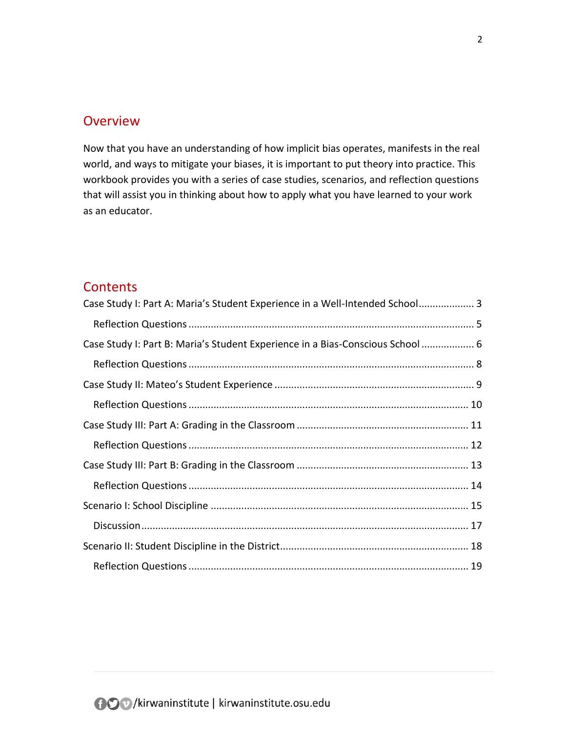## **Overview**

Now that you have an understanding of how implicit bias operates, manifests in the real world, and ways to mitigate your biases, it is important to put theory into practice. This workbook provides you with a series of case studies, scenarios, and reflection questions that will assist you in thinking about how to apply what you have learned to your work as an educator.

## **Contents**

| Case Study I: Part A: Maria's Student Experience in a Well-Intended School 3   |
|--------------------------------------------------------------------------------|
|                                                                                |
| Case Study I: Part B: Maria's Student Experience in a Bias-Conscious School  6 |
|                                                                                |
|                                                                                |
|                                                                                |
|                                                                                |
|                                                                                |
|                                                                                |
|                                                                                |
|                                                                                |
|                                                                                |
|                                                                                |
|                                                                                |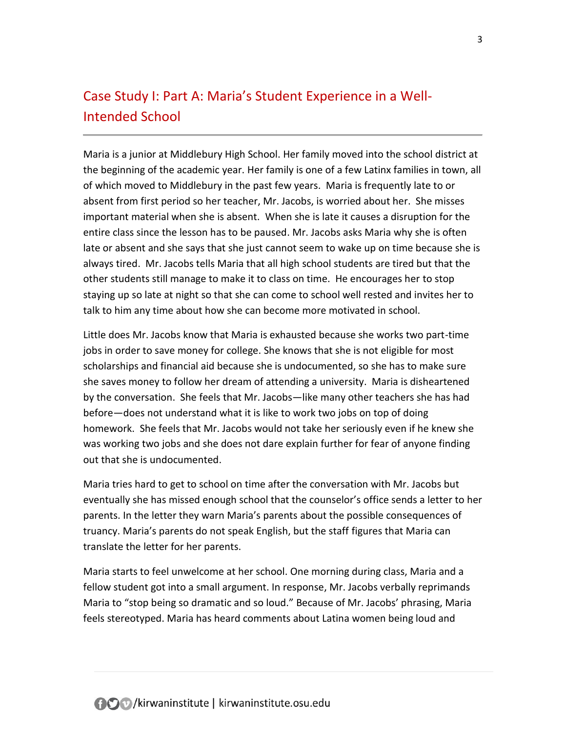# <span id="page-2-0"></span>Case Study I: Part A: Maria's Student Experience in a Well-Intended School

Maria is a junior at Middlebury High School. Her family moved into the school district at the beginning of the academic year. Her family is one of a few Latinx families in town, all of which moved to Middlebury in the past few years. Maria is frequently late to or absent from first period so her teacher, Mr. Jacobs, is worried about her. She misses important material when she is absent. When she is late it causes a disruption for the entire class since the lesson has to be paused. Mr. Jacobs asks Maria why she is often late or absent and she says that she just cannot seem to wake up on time because she is always tired. Mr. Jacobs tells Maria that all high school students are tired but that the other students still manage to make it to class on time. He encourages her to stop staying up so late at night so that she can come to school well rested and invites her to talk to him any time about how she can become more motivated in school.

Little does Mr. Jacobs know that Maria is exhausted because she works two part-time jobs in order to save money for college. She knows that she is not eligible for most scholarships and financial aid because she is undocumented, so she has to make sure she saves money to follow her dream of attending a university. Maria is disheartened by the conversation. She feels that Mr. Jacobs—like many other teachers she has had before—does not understand what it is like to work two jobs on top of doing homework. She feels that Mr. Jacobs would not take her seriously even if he knew she was working two jobs and she does not dare explain further for fear of anyone finding out that she is undocumented.

Maria tries hard to get to school on time after the conversation with Mr. Jacobs but eventually she has missed enough school that the counselor's office sends a letter to her parents. In the letter they warn Maria's parents about the possible consequences of truancy. Maria's parents do not speak English, but the staff figures that Maria can translate the letter for her parents.

Maria starts to feel unwelcome at her school. One morning during class, Maria and a fellow student got into a small argument. In response, Mr. Jacobs verbally reprimands Maria to "stop being so dramatic and so loud." Because of Mr. Jacobs' phrasing, Maria feels stereotyped. Maria has heard comments about Latina women being loud and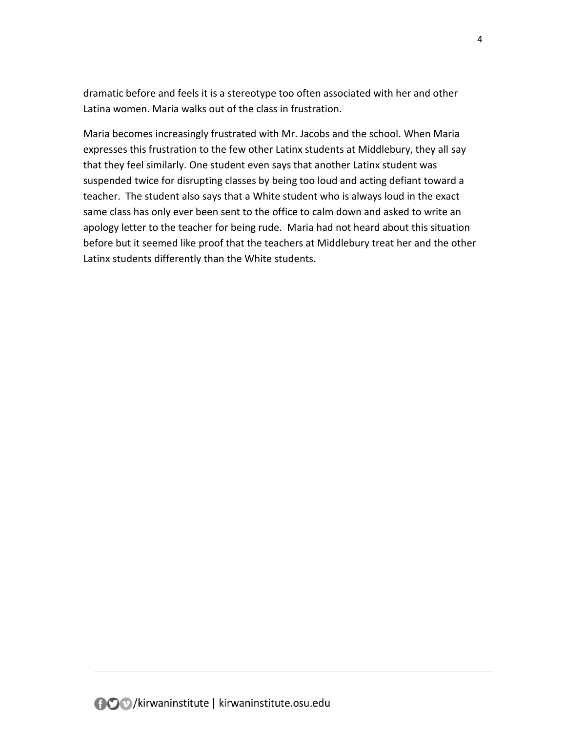dramatic before and feels it is a stereotype too often associated with her and other Latina women. Maria walks out of the class in frustration.

Maria becomes increasingly frustrated with Mr. Jacobs and the school. When Maria expresses this frustration to the few other Latinx students at Middlebury, they all say that they feel similarly. One student even says that another Latinx student was suspended twice for disrupting classes by being too loud and acting defiant toward a teacher. The student also says that a White student who is always loud in the exact same class has only ever been sent to the office to calm down and asked to write an apology letter to the teacher for being rude. Maria had not heard about this situation before but it seemed like proof that the teachers at Middlebury treat her and the other Latinx students differently than the White students.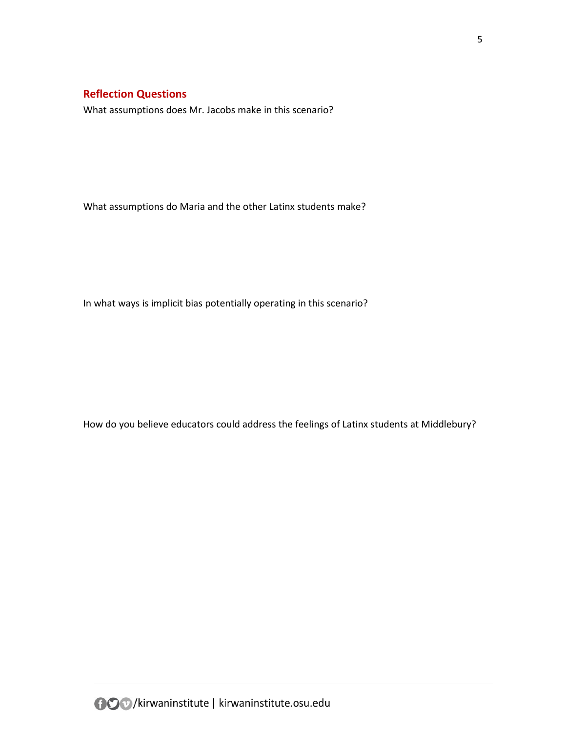<span id="page-4-0"></span>What assumptions does Mr. Jacobs make in this scenario?

What assumptions do Maria and the other Latinx students make?

In what ways is implicit bias potentially operating in this scenario?

How do you believe educators could address the feelings of Latinx students at Middlebury?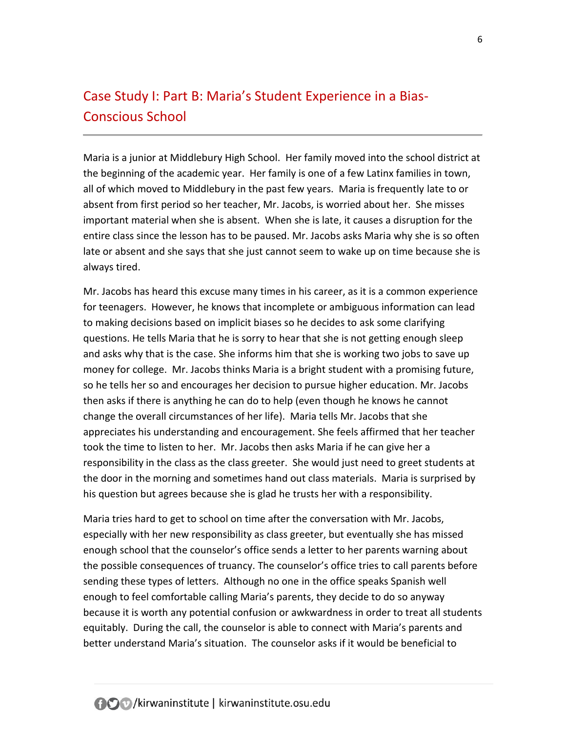# <span id="page-5-0"></span>Case Study I: Part B: Maria's Student Experience in a Bias-Conscious School

Maria is a junior at Middlebury High School. Her family moved into the school district at the beginning of the academic year. Her family is one of a few Latinx families in town, all of which moved to Middlebury in the past few years. Maria is frequently late to or absent from first period so her teacher, Mr. Jacobs, is worried about her. She misses important material when she is absent. When she is late, it causes a disruption for the entire class since the lesson has to be paused. Mr. Jacobs asks Maria why she is so often late or absent and she says that she just cannot seem to wake up on time because she is always tired.

Mr. Jacobs has heard this excuse many times in his career, as it is a common experience for teenagers. However, he knows that incomplete or ambiguous information can lead to making decisions based on implicit biases so he decides to ask some clarifying questions. He tells Maria that he is sorry to hear that she is not getting enough sleep and asks why that is the case. She informs him that she is working two jobs to save up money for college. Mr. Jacobs thinks Maria is a bright student with a promising future, so he tells her so and encourages her decision to pursue higher education. Mr. Jacobs then asks if there is anything he can do to help (even though he knows he cannot change the overall circumstances of her life). Maria tells Mr. Jacobs that she appreciates his understanding and encouragement. She feels affirmed that her teacher took the time to listen to her. Mr. Jacobs then asks Maria if he can give her a responsibility in the class as the class greeter. She would just need to greet students at the door in the morning and sometimes hand out class materials. Maria is surprised by his question but agrees because she is glad he trusts her with a responsibility.

Maria tries hard to get to school on time after the conversation with Mr. Jacobs, especially with her new responsibility as class greeter, but eventually she has missed enough school that the counselor's office sends a letter to her parents warning about the possible consequences of truancy. The counselor's office tries to call parents before sending these types of letters. Although no one in the office speaks Spanish well enough to feel comfortable calling Maria's parents, they decide to do so anyway because it is worth any potential confusion or awkwardness in order to treat all students equitably. During the call, the counselor is able to connect with Maria's parents and better understand Maria's situation. The counselor asks if it would be beneficial to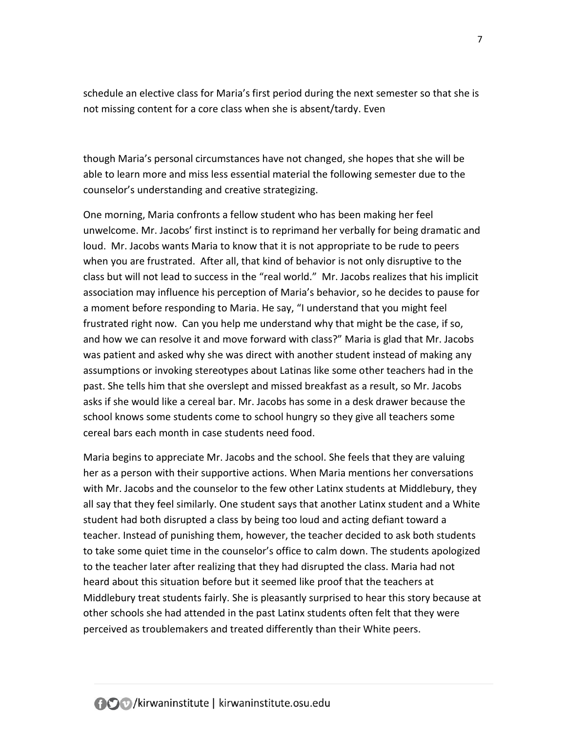schedule an elective class for Maria's first period during the next semester so that she is not missing content for a core class when she is absent/tardy. Even

though Maria's personal circumstances have not changed, she hopes that she will be able to learn more and miss less essential material the following semester due to the counselor's understanding and creative strategizing.

One morning, Maria confronts a fellow student who has been making her feel unwelcome. Mr. Jacobs' first instinct is to reprimand her verbally for being dramatic and loud. Mr. Jacobs wants Maria to know that it is not appropriate to be rude to peers when you are frustrated. After all, that kind of behavior is not only disruptive to the class but will not lead to success in the "real world." Mr. Jacobs realizes that his implicit association may influence his perception of Maria's behavior, so he decides to pause for a moment before responding to Maria. He say, "I understand that you might feel frustrated right now. Can you help me understand why that might be the case, if so, and how we can resolve it and move forward with class?" Maria is glad that Mr. Jacobs was patient and asked why she was direct with another student instead of making any assumptions or invoking stereotypes about Latinas like some other teachers had in the past. She tells him that she overslept and missed breakfast as a result, so Mr. Jacobs asks if she would like a cereal bar. Mr. Jacobs has some in a desk drawer because the school knows some students come to school hungry so they give all teachers some cereal bars each month in case students need food.

Maria begins to appreciate Mr. Jacobs and the school. She feels that they are valuing her as a person with their supportive actions. When Maria mentions her conversations with Mr. Jacobs and the counselor to the few other Latinx students at Middlebury, they all say that they feel similarly. One student says that another Latinx student and a White student had both disrupted a class by being too loud and acting defiant toward a teacher. Instead of punishing them, however, the teacher decided to ask both students to take some quiet time in the counselor's office to calm down. The students apologized to the teacher later after realizing that they had disrupted the class. Maria had not heard about this situation before but it seemed like proof that the teachers at Middlebury treat students fairly. She is pleasantly surprised to hear this story because at other schools she had attended in the past Latinx students often felt that they were perceived as troublemakers and treated differently than their White peers.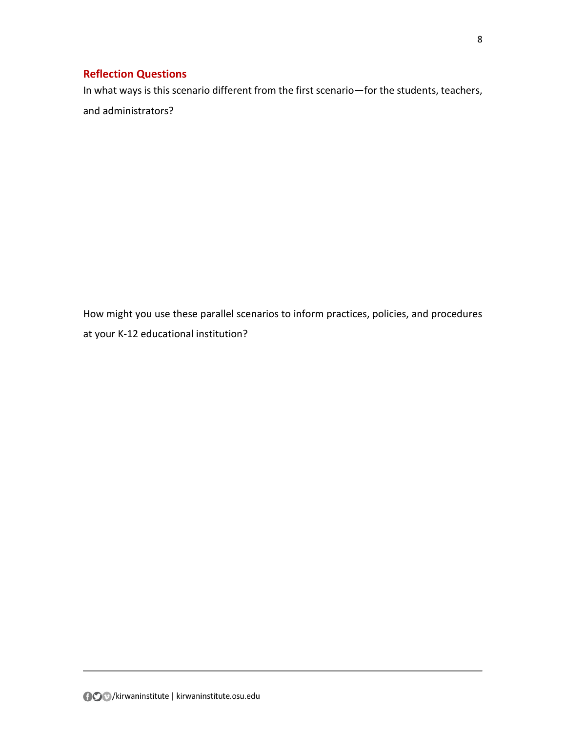<span id="page-7-0"></span>In what ways is this scenario different from the first scenario—for the students, teachers, and administrators?

How might you use these parallel scenarios to inform practices, policies, and procedures at your K-12 educational institution?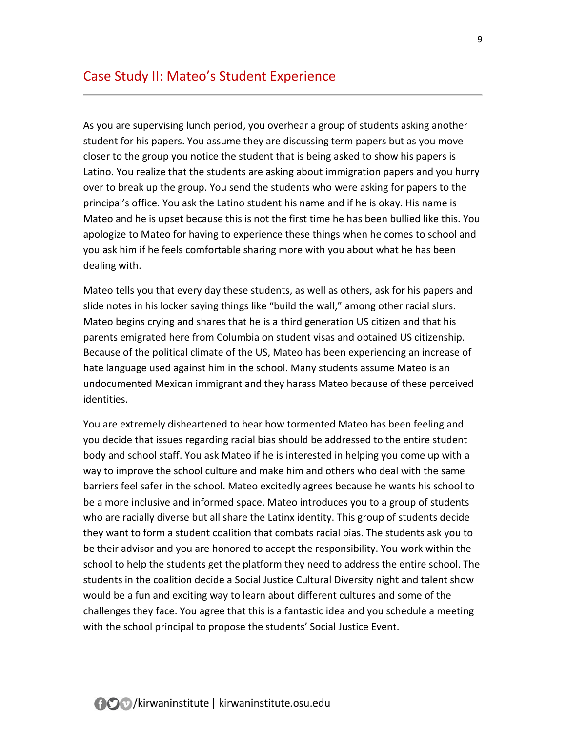<span id="page-8-0"></span>As you are supervising lunch period, you overhear a group of students asking another student for his papers. You assume they are discussing term papers but as you move closer to the group you notice the student that is being asked to show his papers is Latino. You realize that the students are asking about immigration papers and you hurry over to break up the group. You send the students who were asking for papers to the principal's office. You ask the Latino student his name and if he is okay. His name is Mateo and he is upset because this is not the first time he has been bullied like this. You apologize to Mateo for having to experience these things when he comes to school and you ask him if he feels comfortable sharing more with you about what he has been dealing with.

Mateo tells you that every day these students, as well as others, ask for his papers and slide notes in his locker saying things like "build the wall," among other racial slurs. Mateo begins crying and shares that he is a third generation US citizen and that his parents emigrated here from Columbia on student visas and obtained US citizenship. Because of the political climate of the US, Mateo has been experiencing an increase of hate language used against him in the school. Many students assume Mateo is an undocumented Mexican immigrant and they harass Mateo because of these perceived identities.

You are extremely disheartened to hear how tormented Mateo has been feeling and you decide that issues regarding racial bias should be addressed to the entire student body and school staff. You ask Mateo if he is interested in helping you come up with a way to improve the school culture and make him and others who deal with the same barriers feel safer in the school. Mateo excitedly agrees because he wants his school to be a more inclusive and informed space. Mateo introduces you to a group of students who are racially diverse but all share the Latinx identity. This group of students decide they want to form a student coalition that combats racial bias. The students ask you to be their advisor and you are honored to accept the responsibility. You work within the school to help the students get the platform they need to address the entire school. The students in the coalition decide a Social Justice Cultural Diversity night and talent show would be a fun and exciting way to learn about different cultures and some of the challenges they face. You agree that this is a fantastic idea and you schedule a meeting with the school principal to propose the students' Social Justice Event.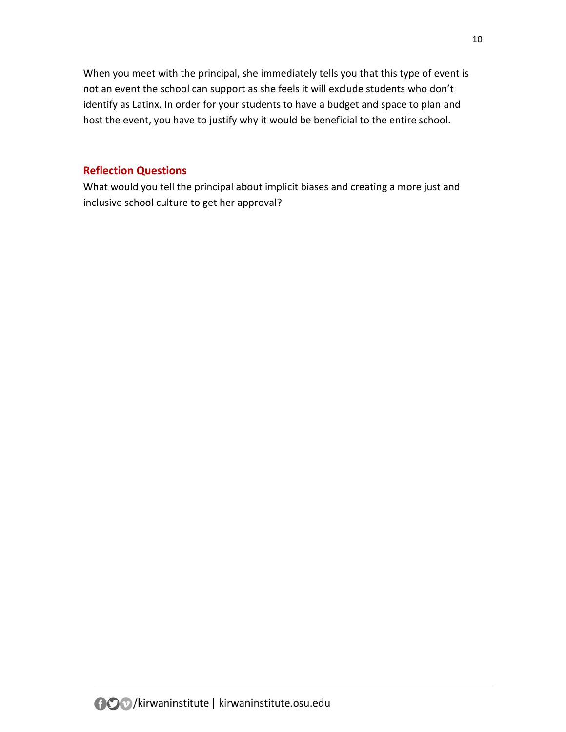When you meet with the principal, she immediately tells you that this type of event is not an event the school can support as she feels it will exclude students who don't identify as Latinx. In order for your students to have a budget and space to plan and host the event, you have to justify why it would be beneficial to the entire school.

### <span id="page-9-0"></span>**Reflection Questions**

What would you tell the principal about implicit biases and creating a more just and inclusive school culture to get her approval?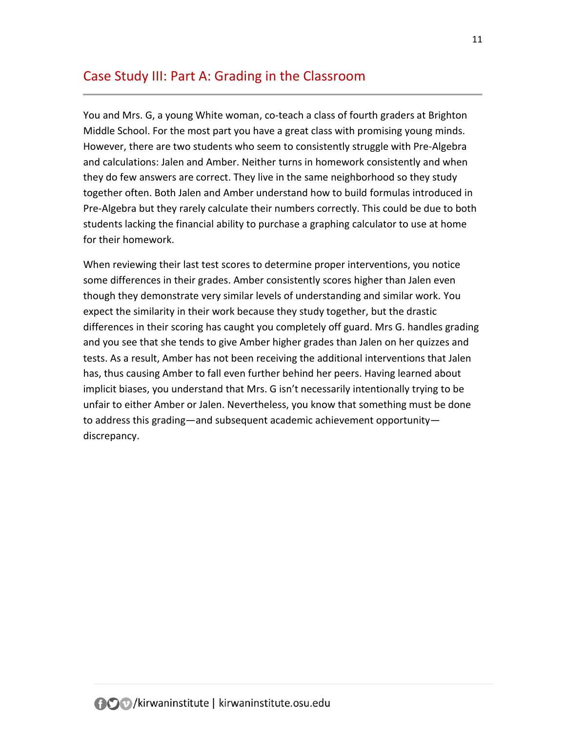## <span id="page-10-0"></span>Case Study III: Part A: Grading in the Classroom

You and Mrs. G, a young White woman, co-teach a class of fourth graders at Brighton Middle School. For the most part you have a great class with promising young minds. However, there are two students who seem to consistently struggle with Pre-Algebra and calculations: Jalen and Amber. Neither turns in homework consistently and when they do few answers are correct. They live in the same neighborhood so they study together often. Both Jalen and Amber understand how to build formulas introduced in Pre-Algebra but they rarely calculate their numbers correctly. This could be due to both students lacking the financial ability to purchase a graphing calculator to use at home for their homework.

When reviewing their last test scores to determine proper interventions, you notice some differences in their grades. Amber consistently scores higher than Jalen even though they demonstrate very similar levels of understanding and similar work. You expect the similarity in their work because they study together, but the drastic differences in their scoring has caught you completely off guard. Mrs G. handles grading and you see that she tends to give Amber higher grades than Jalen on her quizzes and tests. As a result, Amber has not been receiving the additional interventions that Jalen has, thus causing Amber to fall even further behind her peers. Having learned about implicit biases, you understand that Mrs. G isn't necessarily intentionally trying to be unfair to either Amber or Jalen. Nevertheless, you know that something must be done to address this grading—and subsequent academic achievement opportunity discrepancy.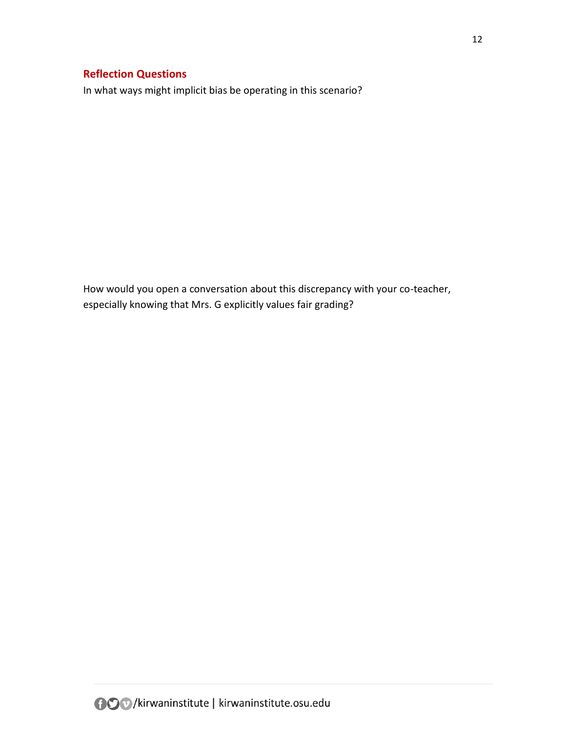<span id="page-11-0"></span>In what ways might implicit bias be operating in this scenario?

How would you open a conversation about this discrepancy with your co-teacher, especially knowing that Mrs. G explicitly values fair grading?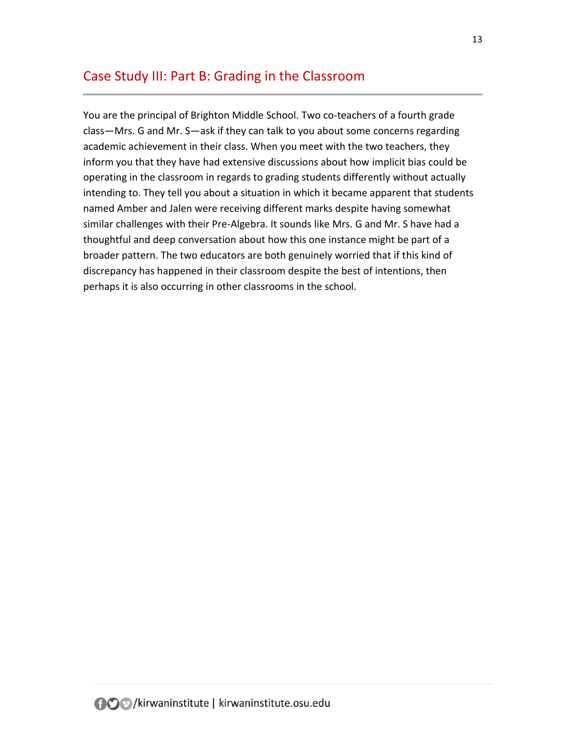## <span id="page-12-0"></span>Case Study III: Part B: Grading in the Classroom

You are the principal of Brighton Middle School. Two co-teachers of a fourth grade class—Mrs. G and Mr. S—ask if they can talk to you about some concerns regarding academic achievement in their class. When you meet with the two teachers, they inform you that they have had extensive discussions about how implicit bias could be operating in the classroom in regards to grading students differently without actually intending to. They tell you about a situation in which it became apparent that students named Amber and Jalen were receiving different marks despite having somewhat similar challenges with their Pre-Algebra. It sounds like Mrs. G and Mr. S have had a thoughtful and deep conversation about how this one instance might be part of a broader pattern. The two educators are both genuinely worried that if this kind of discrepancy has happened in their classroom despite the best of intentions, then perhaps it is also occurring in other classrooms in the school.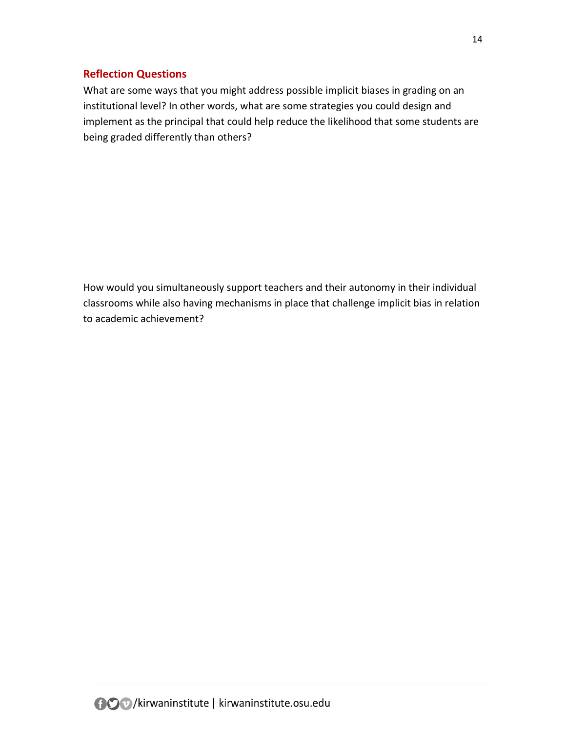<span id="page-13-0"></span>What are some ways that you might address possible implicit biases in grading on an institutional level? In other words, what are some strategies you could design and implement as the principal that could help reduce the likelihood that some students are being graded differently than others?

How would you simultaneously support teachers and their autonomy in their individual classrooms while also having mechanisms in place that challenge implicit bias in relation to academic achievement?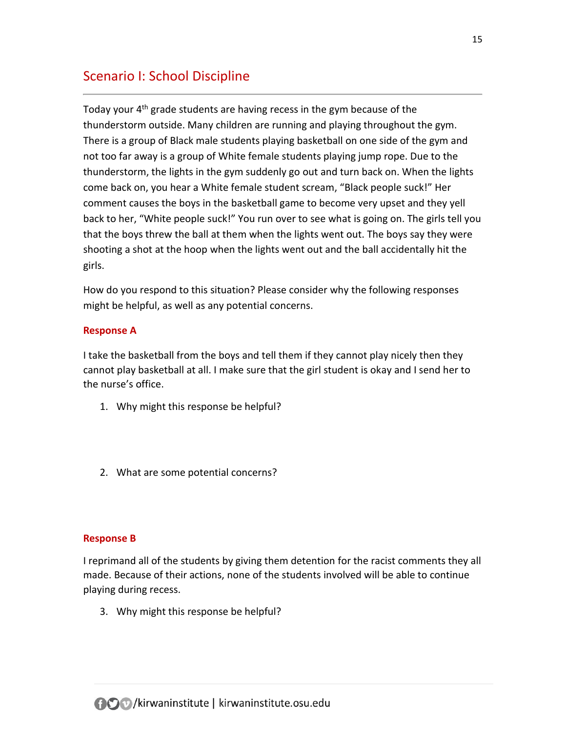## <span id="page-14-0"></span>Scenario I: School Discipline

Today your 4<sup>th</sup> grade students are having recess in the gym because of the thunderstorm outside. Many children are running and playing throughout the gym. There is a group of Black male students playing basketball on one side of the gym and not too far away is a group of White female students playing jump rope. Due to the thunderstorm, the lights in the gym suddenly go out and turn back on. When the lights come back on, you hear a White female student scream, "Black people suck!" Her comment causes the boys in the basketball game to become very upset and they yell back to her, "White people suck!" You run over to see what is going on. The girls tell you that the boys threw the ball at them when the lights went out. The boys say they were shooting a shot at the hoop when the lights went out and the ball accidentally hit the girls.

How do you respond to this situation? Please consider why the following responses might be helpful, as well as any potential concerns.

### **Response A**

I take the basketball from the boys and tell them if they cannot play nicely then they cannot play basketball at all. I make sure that the girl student is okay and I send her to the nurse's office.

- 1. Why might this response be helpful?
- 2. What are some potential concerns?

#### **Response B**

I reprimand all of the students by giving them detention for the racist comments they all made. Because of their actions, none of the students involved will be able to continue playing during recess.

3. Why might this response be helpful?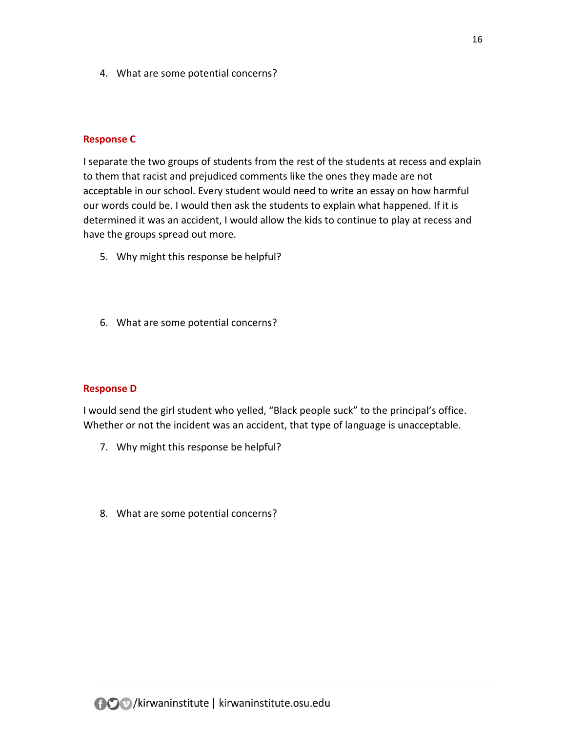4. What are some potential concerns?

#### **Response C**

I separate the two groups of students from the rest of the students at recess and explain to them that racist and prejudiced comments like the ones they made are not acceptable in our school. Every student would need to write an essay on how harmful our words could be. I would then ask the students to explain what happened. If it is determined it was an accident, I would allow the kids to continue to play at recess and have the groups spread out more.

- 5. Why might this response be helpful?
- 6. What are some potential concerns?

#### **Response D**

I would send the girl student who yelled, "Black people suck" to the principal's office. Whether or not the incident was an accident, that type of language is unacceptable.

- 7. Why might this response be helpful?
- 8. What are some potential concerns?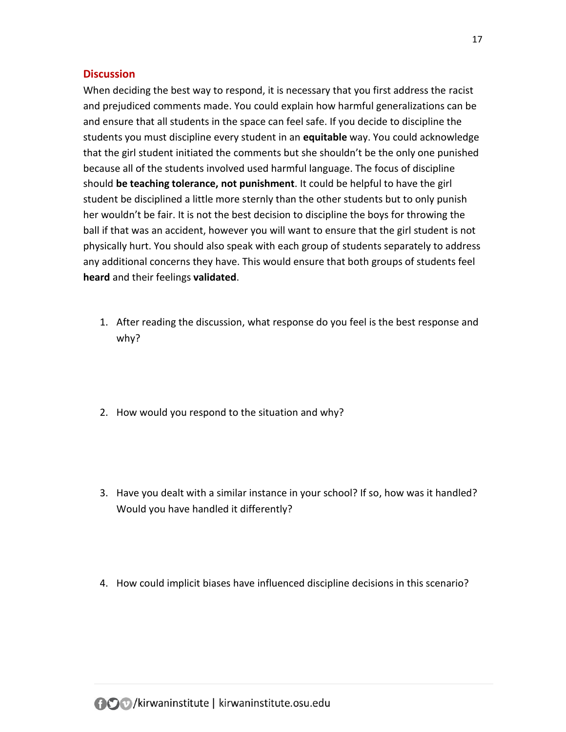#### <span id="page-16-0"></span>**Discussion**

When deciding the best way to respond, it is necessary that you first address the racist and prejudiced comments made. You could explain how harmful generalizations can be and ensure that all students in the space can feel safe. If you decide to discipline the students you must discipline every student in an **equitable** way. You could acknowledge that the girl student initiated the comments but she shouldn't be the only one punished because all of the students involved used harmful language. The focus of discipline should **be teaching tolerance, not punishment**. It could be helpful to have the girl student be disciplined a little more sternly than the other students but to only punish her wouldn't be fair. It is not the best decision to discipline the boys for throwing the ball if that was an accident, however you will want to ensure that the girl student is not physically hurt. You should also speak with each group of students separately to address any additional concerns they have. This would ensure that both groups of students feel **heard** and their feelings **validated**.

- 1. After reading the discussion, what response do you feel is the best response and why?
- 2. How would you respond to the situation and why?
- 3. Have you dealt with a similar instance in your school? If so, how was it handled? Would you have handled it differently?
- 4. How could implicit biases have influenced discipline decisions in this scenario?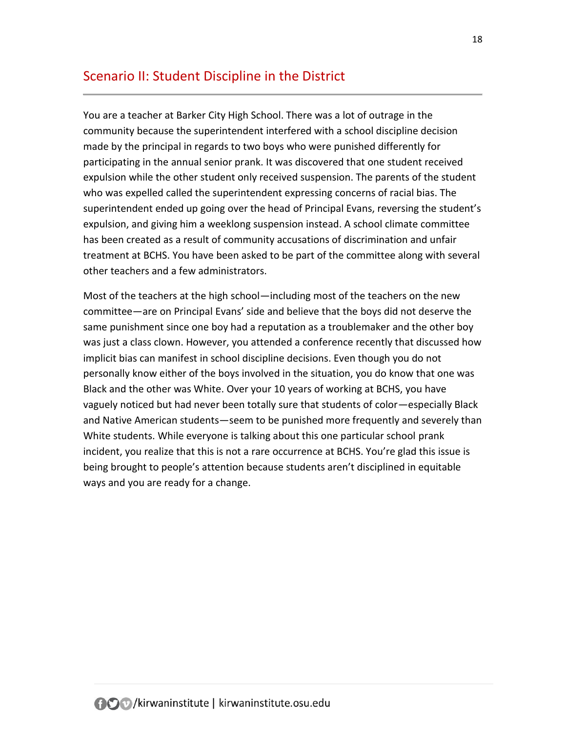## <span id="page-17-0"></span>Scenario II: Student Discipline in the District

You are a teacher at Barker City High School. There was a lot of outrage in the community because the superintendent interfered with a school discipline decision made by the principal in regards to two boys who were punished differently for participating in the annual senior prank. It was discovered that one student received expulsion while the other student only received suspension. The parents of the student who was expelled called the superintendent expressing concerns of racial bias. The superintendent ended up going over the head of Principal Evans, reversing the student's expulsion, and giving him a weeklong suspension instead. A school climate committee has been created as a result of community accusations of discrimination and unfair treatment at BCHS. You have been asked to be part of the committee along with several other teachers and a few administrators.

Most of the teachers at the high school—including most of the teachers on the new committee—are on Principal Evans' side and believe that the boys did not deserve the same punishment since one boy had a reputation as a troublemaker and the other boy was just a class clown. However, you attended a conference recently that discussed how implicit bias can manifest in school discipline decisions. Even though you do not personally know either of the boys involved in the situation, you do know that one was Black and the other was White. Over your 10 years of working at BCHS, you have vaguely noticed but had never been totally sure that students of color—especially Black and Native American students—seem to be punished more frequently and severely than White students. While everyone is talking about this one particular school prank incident, you realize that this is not a rare occurrence at BCHS. You're glad this issue is being brought to people's attention because students aren't disciplined in equitable ways and you are ready for a change.